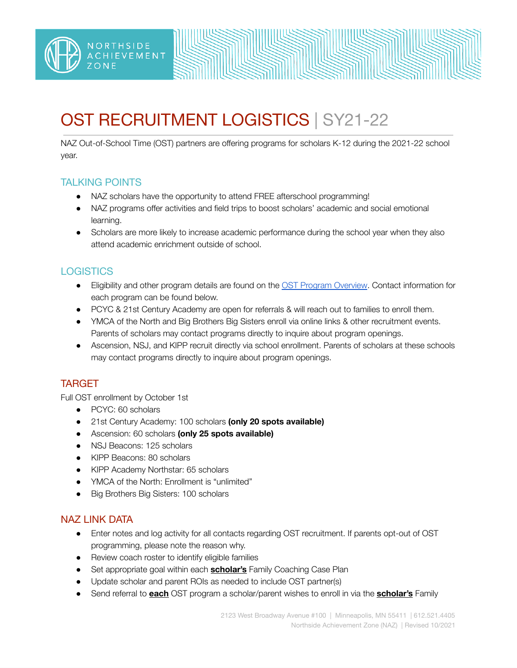# OST RECRUITMENT LOGISTICS | SY21-22

NAZ Out-of-School Time (OST) partners are offering programs for scholars K-12 during the 2021-22 school year.

## TALKING POINTS

NORTHSIDE

**IEVEMENT** 

- NAZ scholars have the opportunity to attend FREE afterschool programming!
- NAZ programs offer activities and field trips to boost scholars' academic and social emotional learning.
- Scholars are more likely to increase academic performance during the school year when they also attend academic enrichment outside of school.

# **LOGISTICS**

- Eligibility and other program details are found on the OST Program [Overview](https://drive.google.com/file/d/1ow0xBUn42vw_9f5_TYPCue87vRFUx3Qz/view?usp=sharing). Contact information for each program can be found below.
- PCYC & 21st Century Academy are open for referrals & will reach out to families to enroll them.
- YMCA of the North and Big Brothers Big Sisters enroll via online links & other recruitment events. Parents of scholars may contact programs directly to inquire about program openings.
- Ascension, NSJ, and KIPP recruit directly via school enrollment. Parents of scholars at these schools may contact programs directly to inquire about program openings.

## TARGET

Full OST enrollment by October 1st

- PCYC: 60 scholars
- 21st Century Academy: 100 scholars **(only 20 spots available)**
- Ascension: 60 scholars **(only 25 spots available)**
- NSJ Beacons: 125 scholars
- KIPP Beacons: 80 scholars
- KIPP Academy Northstar: 65 scholars
- YMCA of the North: Enrollment is "unlimited"
- Big Brothers Big Sisters: 100 scholars

## NAZ LINK DATA

- Enter notes and log activity for all contacts regarding OST recruitment. If parents opt-out of OST programming, please note the reason why.
- Review coach roster to identify eligible families
- Set appropriate goal within each **scholar's** Family Coaching Case Plan
- Update scholar and parent ROIs as needed to include OST partner(s)
- Send referral to **each** OST program a scholar/parent wishes to enroll in via the **scholar's** Family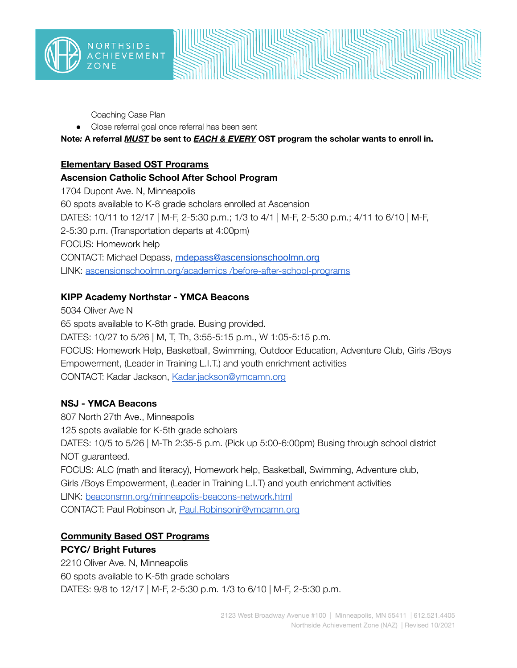

Coaching Case Plan

● Close referral goal once referral has been sent

**Note***:* **A referral** *MUST* **be sent to** *EACH & EVERY* **OST program the scholar wants to enroll in.**

#### **Elementary Based OST Programs**

#### **Ascension Catholic School After School Program**

1704 Dupont Ave. N, Minneapolis 60 spots available to K-8 grade scholars enrolled at Ascension DATES: 10/11 to 12/17 | M-F, 2-5:30 p.m.; 1/3 to 4/1 | M-F, 2-5:30 p.m.; 4/11 to 6/10 | M-F, 2-5:30 p.m. (Transportation departs at 4:00pm) FOCUS: Homework help CONTACT: Michael Depass, [mdepass@ascensionschoolmn.org](mailto:mdepass@ascensionschoolmn.org) LINK: [ascensionschoolmn.org/academics](https://ascensionschoolmn.org/academics%20/before-after-school-programs/) /before-after-school-programs

## **KIPP Academy Northstar - YMCA Beacons**

5034 Oliver Ave N 65 spots available to K-8th grade. Busing provided. DATES: 10/27 to 5/26 | M, T, Th, 3:55-5:15 p.m., W 1:05-5:15 p.m. FOCUS: Homework Help, Basketball, Swimming, Outdoor Education, Adventure Club, Girls /Boys Empowerment, (Leader in Training L.I.T.) and youth enrichment activities CONTACT: Kadar Jackson, [Kadar.jackson@ymcamn.org](mailto:Kadar.jackson@ymcamn.org)

## **NSJ - YMCA Beacons**

807 North 27th Ave., Minneapolis 125 spots available for K-5th grade scholars DATES: 10/5 to 5/26 | M-Th 2:35-5 p.m. (Pick up 5:00-6:00pm) Busing through school district NOT guaranteed. FOCUS: ALC (math and literacy), Homework help, Basketball, Swimming, Adventure club, Girls /Boys Empowerment, (Leader in Training L.I.T) and youth enrichment activities LINK: [beaconsmn.org/minneapolis-beacons-network.html](https://www.beaconsmn.org/minneapolis-beacons-network.html) CONTACT: Paul Robinson Jr, [Paul.Robinsonjr@ymcamn.org](mailto:Paul.Robinsonjr@ymcamn.org)

## **Community Based OST Programs**

#### **PCYC/ Bright Futures**

2210 Oliver Ave. N, Minneapolis 60 spots available to K-5th grade scholars DATES: 9/8 to 12/17 | M-F, 2-5:30 p.m. 1/3 to 6/10 | M-F, 2-5:30 p.m.